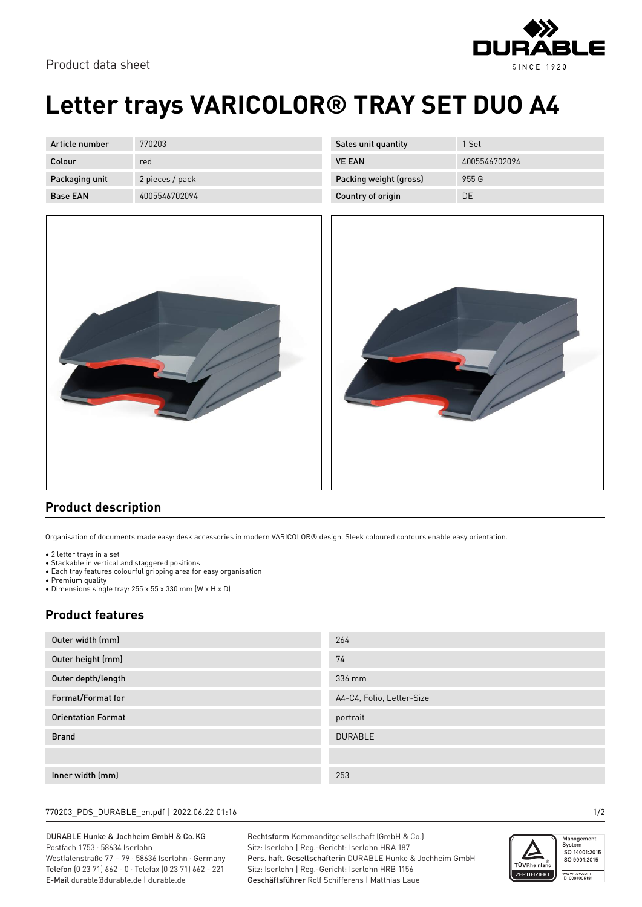

# **Letter trays VARICOLOR® TRAY SET DUO A4**

| Article number  | 770203          |
|-----------------|-----------------|
| Colour          | red             |
| Packaging unit  | 2 pieces / pack |
| <b>Base FAN</b> | 4005546702094   |



| Sales unit quantity    | 1 Set         |
|------------------------|---------------|
| <b>VE FAN</b>          | 4005546702094 |
| Packing weight (gross) | 955 G         |
| Country of origin      | DΕ            |



### **Product description**

Organisation of documents made easy: desk accessories in modern VARICOLOR® design. Sleek coloured contours enable easy orientation.

- 2 letter trays in a set
- Stackable in vertical and staggered positions • Each tray features colourful gripping area for easy organisation
- Premium quality
- Dimensions single tray: 255 x 55 x 330 mm (W x H x D)

### **Product features**

| Outer width (mm)          | 264                       |
|---------------------------|---------------------------|
| Outer height (mm)         | 74                        |
| Outer depth/length        | 336 mm                    |
| Format/Format for         | A4-C4, Folio, Letter-Size |
| <b>Orientation Format</b> | portrait                  |
| <b>Brand</b>              | <b>DURABLE</b>            |
|                           |                           |
| Inner width (mm)          | 253                       |

#### 770203\_PDS\_DURABLE\_en.pdf | 2022.06.22 01:16 1/2

#### DURABLE Hunke & Jochheim GmbH & Co.KG Postfach 1753 · 58634 Iserlohn

Westfalenstraße 77 – 79 · 58636 Iserlohn · Germany Telefon (0 23 71) 662 - 0 · Telefax (0 23 71) 662 - 221 E-Mail durable@durable.de | durable.de

Rechtsform Kommanditgesellschaft (GmbH & Co.) Sitz: Iserlohn | Reg.-Gericht: Iserlohn HRA 187 Pers. haft. Gesellschafterin DURABLE Hunke & Jochheim GmbH Sitz: Iserlohn | Reg.-Gericht: Iserlohn HRB 1156 Geschäftsführer Rolf Schifferens | Matthias Laue